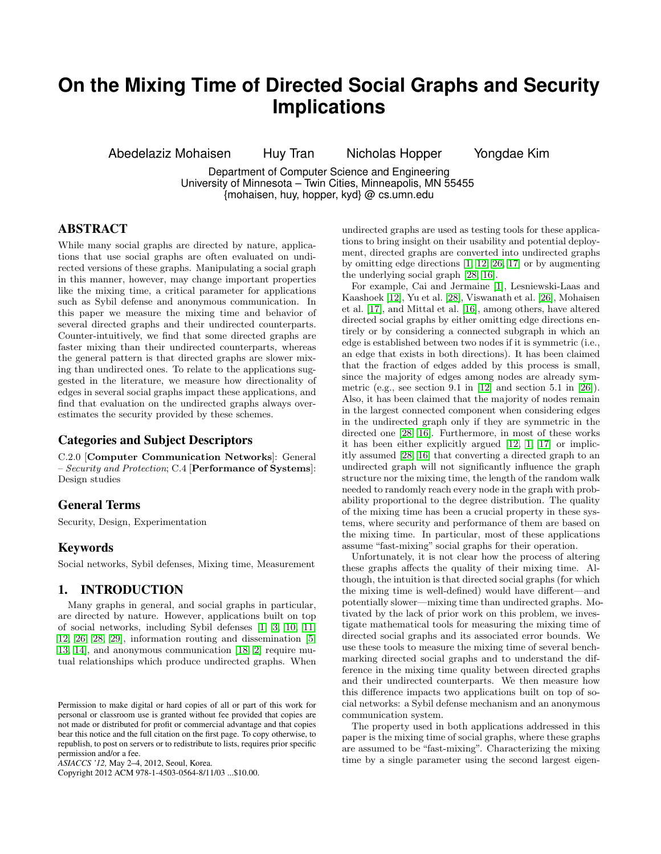# **On the Mixing Time of Directed Social Graphs and Security Implications**

Abedelaziz Mohaisen Huy Tran Nicholas Hopper Yongdae Kim

Department of Computer Science and Engineering University of Minnesota – Twin Cities, Minneapolis, MN 55455 {mohaisen, huy, hopper, kyd} @ cs.umn.edu

# **ABSTRACT**

While many social graphs are directed by nature, applications that use social graphs are often evaluated on undirected versions of these graphs. Manipulating a social graph in this manner, however, may change important properties like the mixing time, a critical parameter for applications such as Sybil defense and anonymous communication. In this paper we measure the mixing time and behavior of several directed graphs and their undirected counterparts. Counter-intuitively, we find that some directed graphs are faster mixing than their undirected counterparts, whereas the general pattern is that directed graphs are slower mixing than undirected ones. To relate to the applications suggested in the literature, we measure how directionality of edges in several social graphs impact these applications, and find that evaluation on the undirected graphs always overestimates the security provided by these schemes.

## **Categories and Subject Descriptors**

C.2.0 [Computer Communication Networks]: General – *Security and Protection*; C.4 [Performance of Systems]: Design studies

# **General Terms**

Security, Design, Experimentation

# **Keywords**

Social networks, Sybil defenses, Mixing time, Measurement

## <span id="page-0-0"></span>**1. INTRODUCTION**

Many graphs in general, and social graphs in particular, are directed by nature. However, applications built on top of social networks, including Sybil defenses [\[1,](#page-9-0) [3,](#page-9-1) [10,](#page-9-2) [11,](#page-9-3) [12,](#page-9-4) [26,](#page-9-5) [28,](#page-9-6) [29\]](#page-9-7), information routing and dissemination [\[5,](#page-9-8) [13,](#page-9-9) [14\]](#page-9-10), and anonymous communication [\[18,](#page-9-11) [2\]](#page-9-12) require mutual relationships which produce undirected graphs. When

Copyright 2012 ACM 978-1-4503-0564-8/11/03 ...\$10.00.

undirected graphs are used as testing tools for these applications to bring insight on their usability and potential deployment, directed graphs are converted into undirected graphs by omitting edge directions [\[1,](#page-9-0) [12,](#page-9-4) [26,](#page-9-5) [17\]](#page-9-13) or by augmenting the underlying social graph [\[28,](#page-9-6) [16\]](#page-9-14).

For example, Cai and Jermaine [\[1\]](#page-9-0), Lesniewski-Laas and Kaashoek [\[12\]](#page-9-4), Yu et al. [\[28\]](#page-9-6), Viswanath et al. [\[26\]](#page-9-5), Mohaisen et al. [\[17\]](#page-9-13), and Mittal et al. [\[16\]](#page-9-14), among others, have altered directed social graphs by either omitting edge directions entirely or by considering a connected subgraph in which an edge is established between two nodes if it is symmetric (i.e., an edge that exists in both directions). It has been claimed that the fraction of edges added by this process is small, since the majority of edges among nodes are already symmetric (e.g., see section 9.1 in [\[12\]](#page-9-4) and section 5.1 in [\[26\]](#page-9-5)). Also, it has been claimed that the majority of nodes remain in the largest connected component when considering edges in the undirected graph only if they are symmetric in the directed one [\[28,](#page-9-6) [16\]](#page-9-14). Furthermore, in most of these works it has been either explicitly argued [\[12,](#page-9-4) [1,](#page-9-0) [17\]](#page-9-13) or implicitly assumed [\[28,](#page-9-6) [16\]](#page-9-14) that converting a directed graph to an undirected graph will not significantly influence the graph structure nor the mixing time, the length of the random walk needed to randomly reach every node in the graph with probability proportional to the degree distribution. The quality of the mixing time has been a crucial property in these systems, where security and performance of them are based on the mixing time. In particular, most of these applications assume "fast-mixing" social graphs for their operation.

Unfortunately, it is not clear how the process of altering these graphs affects the quality of their mixing time. Although, the intuition is that directed social graphs (for which the mixing time is well-defined) would have different—and potentially slower—mixing time than undirected graphs. Motivated by the lack of prior work on this problem, we investigate mathematical tools for measuring the mixing time of directed social graphs and its associated error bounds. We use these tools to measure the mixing time of several benchmarking directed social graphs and to understand the difference in the mixing time quality between directed graphs and their undirected counterparts. We then measure how this difference impacts two applications built on top of social networks: a Sybil defense mechanism and an anonymous communication system.

The property used in both applications addressed in this paper is the mixing time of social graphs, where these graphs are assumed to be "fast-mixing". Characterizing the mixing time by a single parameter using the second largest eigen-

Permission to make digital or hard copies of all or part of this work for personal or classroom use is granted without fee provided that copies are not made or distributed for profit or commercial advantage and that copies bear this notice and the full citation on the first page. To copy otherwise, to republish, to post on servers or to redistribute to lists, requires prior specific permission and/or a fee.

*ASIACCS '12,* May 2–4, 2012, Seoul, Korea.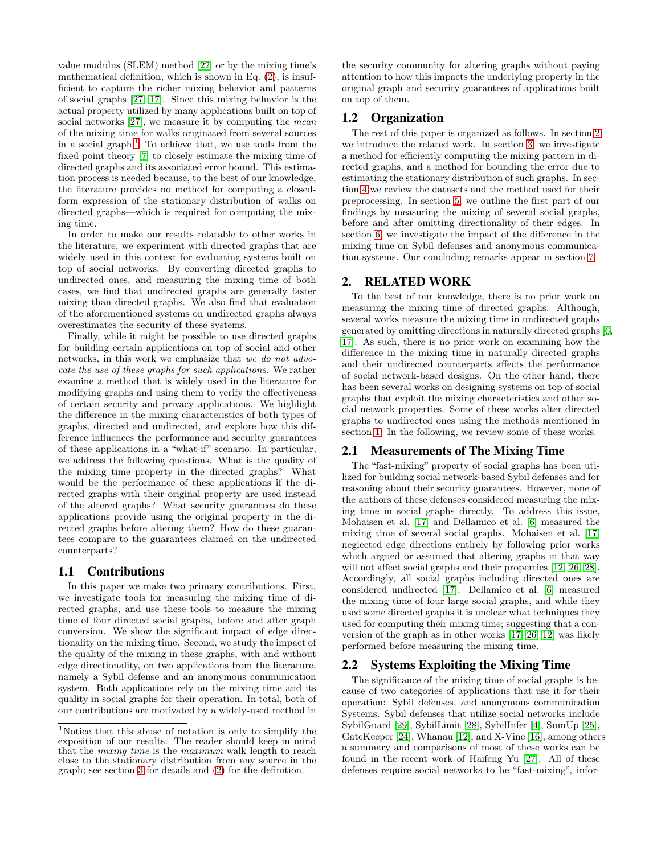value modulus (SLEM) method [\[22\]](#page-9-15) or by the mixing time's mathematical definition, which is shown in Eq. [\(2\)](#page-2-0), is insufficient to capture the richer mixing behavior and patterns of social graphs [\[27,](#page-9-16) [17\]](#page-9-13). Since this mixing behavior is the actual property utilized by many applications built on top of social networks [\[27\]](#page-9-16), we measure it by computing the *mean* of the mixing time for walks originated from several sources in a social graph.<sup>[1](#page-1-0)</sup> To achieve that, we use tools from the fixed point theory [\[7\]](#page-9-17) to closely estimate the mixing time of directed graphs and its associated error bound. This estimation process is needed because, to the best of our knowledge, the literature provides no method for computing a closedform expression of the stationary distribution of walks on directed graphs—which is required for computing the mixing time.

In order to make our results relatable to other works in the literature, we experiment with directed graphs that are widely used in this context for evaluating systems built on top of social networks. By converting directed graphs to undirected ones, and measuring the mixing time of both cases, we find that undirected graphs are generally faster mixing than directed graphs. We also find that evaluation of the aforementioned systems on undirected graphs always overestimates the security of these systems.

Finally, while it might be possible to use directed graphs for building certain applications on top of social and other networks, in this work we emphasize that *we do not advocate the use of these graphs for such applications*. We rather examine a method that is widely used in the literature for modifying graphs and using them to verify the effectiveness of certain security and privacy applications. We highlight the difference in the mixing characteristics of both types of graphs, directed and undirected, and explore how this difference influences the performance and security guarantees of these applications in a "what-if" scenario. In particular, we address the following questions. What is the quality of the mixing time property in the directed graphs? What would be the performance of these applications if the directed graphs with their original property are used instead of the altered graphs? What security guarantees do these applications provide using the original property in the directed graphs before altering them? How do these guarantees compare to the guarantees claimed on the undirected counterparts?

## **1.1 Contributions**

In this paper we make two primary contributions. First, we investigate tools for measuring the mixing time of directed graphs, and use these tools to measure the mixing time of four directed social graphs, before and after graph conversion. We show the significant impact of edge directionality on the mixing time. Second, we study the impact of the quality of the mixing in these graphs, with and without edge directionality, on two applications from the literature, namely a Sybil defense and an anonymous communication system. Both applications rely on the mixing time and its quality in social graphs for their operation. In total, both of our contributions are motivated by a widely-used method in the security community for altering graphs without paying attention to how this impacts the underlying property in the original graph and security guarantees of applications built on top of them.

## **1.2 Organization**

The rest of this paper is organized as follows. In section [2](#page-1-1) we introduce the related work. In section [3,](#page-2-1) we investigate a method for efficiently computing the mixing pattern in directed graphs, and a method for bounding the error due to estimating the stationary distribution of such graphs. In section [4](#page-3-0) we review the datasets and the method used for their preprocessing. In section [5,](#page-4-0) we outline the first part of our findings by measuring the mixing of several social graphs, before and after omitting directionality of their edges. In section [6,](#page-5-0) we investigate the impact of the difference in the mixing time on Sybil defenses and anonymous communication systems. Our concluding remarks appear in section [7.](#page-8-0)

## <span id="page-1-1"></span>**2. RELATED WORK**

To the best of our knowledge, there is no prior work on measuring the mixing time of directed graphs. Although, several works measure the mixing time in undirected graphs generated by omitting directions in naturally directed graphs [\[6,](#page-9-18) [17\]](#page-9-13). As such, there is no prior work on examining how the difference in the mixing time in naturally directed graphs and their undirected counterparts affects the performance of social network-based designs. On the other hand, there has been several works on designing systems on top of social graphs that exploit the mixing characteristics and other social network properties. Some of these works alter directed graphs to undirected ones using the methods mentioned in section [1.](#page-0-0) In the following, we review some of these works.

## **2.1 Measurements of The Mixing Time**

The "fast-mixing" property of social graphs has been utilized for building social network-based Sybil defenses and for reasoning about their security guarantees. However, none of the authors of these defenses considered measuring the mixing time in social graphs directly. To address this issue, Mohaisen et al. [\[17\]](#page-9-13) and Dellamico et al. [\[6\]](#page-9-18) measured the mixing time of several social graphs. Mohaisen et al. [\[17\]](#page-9-13) neglected edge directions entirely by following prior works which argued or assumed that altering graphs in that way will not affect social graphs and their properties [\[12,](#page-9-4) [26,](#page-9-5) [28\]](#page-9-6). Accordingly, all social graphs including directed ones are considered undirected [\[17\]](#page-9-13). Dellamico et al. [\[6\]](#page-9-18) measured the mixing time of four large social graphs, and while they used some directed graphs it is unclear what techniques they used for computing their mixing time; suggesting that a conversion of the graph as in other works [\[17,](#page-9-13) [26,](#page-9-5) [12\]](#page-9-4) was likely performed before measuring the mixing time.

## **2.2 Systems Exploiting the Mixing Time**

The significance of the mixing time of social graphs is because of two categories of applications that use it for their operation: Sybil defenses, and anonymous communication Systems. Sybil defenses that utilize social networks include SybilGuard [\[29\]](#page-9-7), SybilLimit [\[28\]](#page-9-6), SybilInfer [\[4\]](#page-9-19), SumUp [\[25\]](#page-9-20), GateKeeper [\[24\]](#page-9-21), Whanau [\[12\]](#page-9-4), and X-Vine [\[16\]](#page-9-14), among othersa summary and comparisons of most of these works can be found in the recent work of Haifeng Yu [\[27\]](#page-9-16). All of these defenses require social networks to be "fast-mixing", infor-

<span id="page-1-0"></span><sup>1</sup>Notice that this abuse of notation is only to simplify the exposition of our results. The reader should keep in mind that the *mixing time* is the *maximum* walk length to reach close to the stationary distribution from any source in the graph; see section [3](#page-2-1) for details and [\(2\)](#page-2-0) for the definition.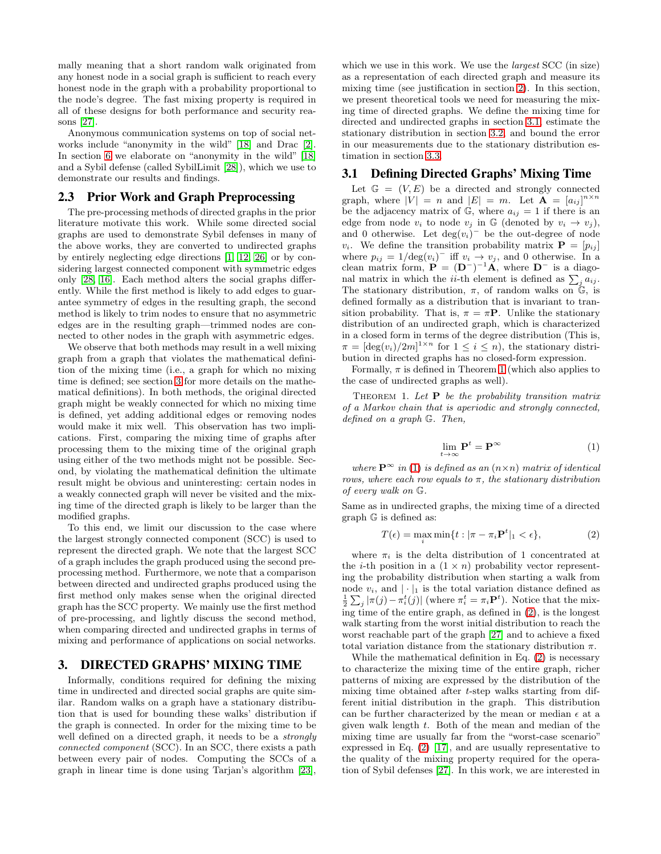mally meaning that a short random walk originated from any honest node in a social graph is sufficient to reach every honest node in the graph with a probability proportional to the node's degree. The fast mixing property is required in all of these designs for both performance and security reasons [\[27\]](#page-9-16).

Anonymous communication systems on top of social networks include "anonymity in the wild" [\[18\]](#page-9-11) and Drac [\[2\]](#page-9-12). In section [6](#page-5-0) we elaborate on "anonymity in the wild" [\[18\]](#page-9-11) and a Sybil defense (called SybilLimit [\[28\]](#page-9-6)), which we use to demonstrate our results and findings.

## **2.3 Prior Work and Graph Preprocessing**

The pre-processing methods of directed graphs in the prior literature motivate this work. While some directed social graphs are used to demonstrate Sybil defenses in many of the above works, they are converted to undirected graphs by entirely neglecting edge directions [\[1,](#page-9-0) [12,](#page-9-4) [26\]](#page-9-5) or by considering largest connected component with symmetric edges only [\[28,](#page-9-6) [16\]](#page-9-14). Each method alters the social graphs differently. While the first method is likely to add edges to guarantee symmetry of edges in the resulting graph, the second method is likely to trim nodes to ensure that no asymmetric edges are in the resulting graph—trimmed nodes are connected to other nodes in the graph with asymmetric edges.

We observe that both methods may result in a well mixing graph from a graph that violates the mathematical definition of the mixing time (i.e., a graph for which no mixing time is defined; see section [3](#page-2-1) for more details on the mathematical definitions). In both methods, the original directed graph might be weakly connected for which no mixing time is defined, yet adding additional edges or removing nodes would make it mix well. This observation has two implications. First, comparing the mixing time of graphs after processing them to the mixing time of the original graph using either of the two methods might not be possible. Second, by violating the mathematical definition the ultimate result might be obvious and uninteresting: certain nodes in a weakly connected graph will never be visited and the mixing time of the directed graph is likely to be larger than the modified graphs.

To this end, we limit our discussion to the case where the largest strongly connected component (SCC) is used to represent the directed graph. We note that the largest SCC of a graph includes the graph produced using the second preprocessing method. Furthermore, we note that a comparison between directed and undirected graphs produced using the first method only makes sense when the original directed graph has the SCC property. We mainly use the first method of pre-processing, and lightly discuss the second method, when comparing directed and undirected graphs in terms of mixing and performance of applications on social networks.

## <span id="page-2-1"></span>**3. DIRECTED GRAPHS' MIXING TIME**

Informally, conditions required for defining the mixing time in undirected and directed social graphs are quite similar. Random walks on a graph have a stationary distribution that is used for bounding these walks' distribution if the graph is connected. In order for the mixing time to be well defined on a directed graph, it needs to be a *strongly connected component* (SCC). In an SCC, there exists a path between every pair of nodes. Computing the SCCs of a graph in linear time is done using Tarjan's algorithm [\[23\]](#page-9-22),

which we use in this work. We use the *largest* SCC (in size) as a representation of each directed graph and measure its mixing time (see justification in section [2\)](#page-1-1). In this section, we present theoretical tools we need for measuring the mixing time of directed graphs. We define the mixing time for directed and undirected graphs in section [3.1,](#page-2-2) estimate the stationary distribution in section [3.2,](#page-3-1) and bound the error in our measurements due to the stationary distribution estimation in section [3.3.](#page-3-2)

## <span id="page-2-2"></span>**3.1 Defining Directed Graphs' Mixing Time**

Let  $\mathbb{G} = (V, E)$  be a directed and strongly connected graph, where  $|V| = n$  and  $|E| = m$ . Let  $\mathbf{A} = [a_{ij}]^{n \times n}$ be the adjacency matrix of  $\mathbb{G}$ , where  $a_{ij} = 1$  if there is an edge from node  $v_i$  to node  $v_j$  in G (denoted by  $v_i \rightarrow v_j$ ), and 0 otherwise. Let  $deg(v_i)^-$  be the out-degree of node  $v_i$ . We define the transition probability matrix  $\mathbf{P} = [p_{ij}]$ where  $p_{ij} = 1/\text{deg}(v_i)^{-1}$  iff  $v_i \to v_j$ , and 0 otherwise. In a clean matrix form,  $\mathbf{P} = (\mathbf{D}^{-})^{-1}\mathbf{A}$ , where  $\mathbf{D}^{-1}$  is a diagonal matrix in which the *ii*-th element is defined as  $\sum_{j} a_{ij}$ . The stationary distribution,  $\pi$ , of random walks on  $\mathbb{G}$ , is defined formally as a distribution that is invariant to transition probability. That is,  $\pi = \pi \mathbf{P}$ . Unlike the stationary distribution of an undirected graph, which is characterized in a closed form in terms of the degree distribution (This is,  $\pi = \left[\deg(v_i)/2m\right]^{1 \times n}$  for  $1 \leq i \leq n$ , the stationary distribution in directed graphs has no closed-form expression.

Formally,  $\pi$  is defined in Theorem [1](#page-2-3) (which also applies to the case of undirected graphs as well).

Theorem 1. *Let* P *be the probability transition matrix of a Markov chain that is aperiodic and strongly connected, defined on a graph* G*. Then,*

<span id="page-2-4"></span><span id="page-2-3"></span>
$$
\lim_{t \to \infty} \mathbf{P}^t = \mathbf{P}^{\infty} \tag{1}
$$

 $where \mathbf{P}^{\infty}$  *in* [\(1\)](#page-2-4) *is defined as an*  $(n \times n)$  *matrix of identical rows, where each row equals to* π*, the stationary distribution of every walk on* G*.*

Same as in undirected graphs, the mixing time of a directed graph G is defined as:

<span id="page-2-0"></span>
$$
T(\epsilon) = \max_{i} \min\{t : |\pi - \pi_i \mathbf{P}^t|_1 < \epsilon\},\tag{2}
$$

where  $\pi_i$  is the delta distribution of 1 concentrated at the *i*-th position in a  $(1 \times n)$  probability vector representing the probability distribution when starting a walk from node  $v_i$ , and  $|\cdot|_1$  is the total variation distance defined as  $\frac{1}{2} \sum_j |\pi(j) - \pi_i^t(j)|$  (where  $\pi_i^t = \pi_i \mathbf{P}^t$ ). Notice that the mixing time of the entire graph, as defined in [\(2\)](#page-2-0), is the longest walk starting from the worst initial distribution to reach the worst reachable part of the graph [\[27\]](#page-9-16) and to achieve a fixed total variation distance from the stationary distribution  $\pi$ .

While the mathematical definition in Eq. [\(2\)](#page-2-0) is necessary to characterize the mixing time of the entire graph, richer patterns of mixing are expressed by the distribution of the mixing time obtained after t-step walks starting from different initial distribution in the graph. This distribution can be further characterized by the mean or median  $\epsilon$  at a given walk length t. Both of the mean and median of the mixing time are usually far from the "worst-case scenario" expressed in Eq. [\(2\)](#page-2-0) [\[17\]](#page-9-13), and are usually representative to the quality of the mixing property required for the operation of Sybil defenses [\[27\]](#page-9-16). In this work, we are interested in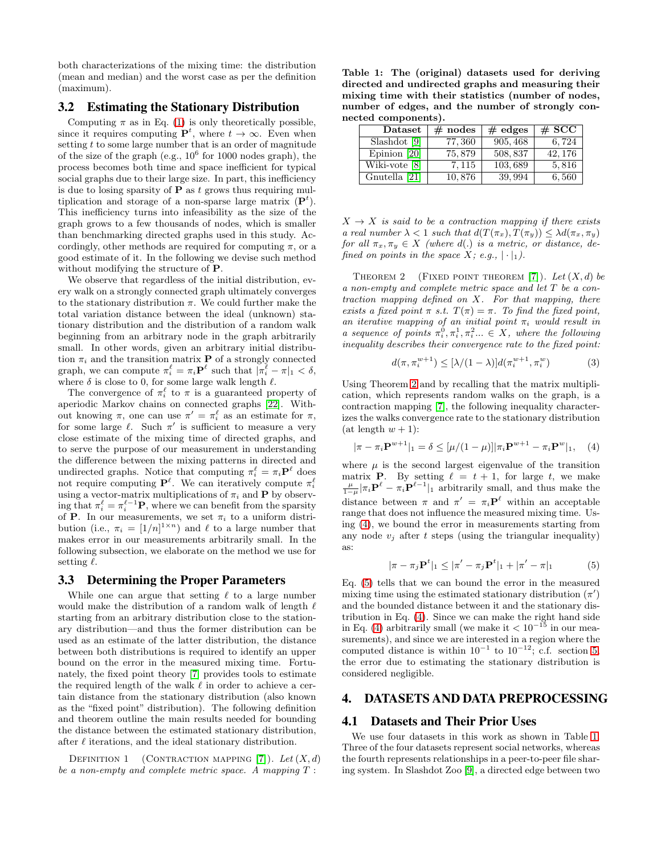both characterizations of the mixing time: the distribution (mean and median) and the worst case as per the definition (maximum).

## <span id="page-3-1"></span>**3.2 Estimating the Stationary Distribution**

Computing  $\pi$  as in Eq. [\(1\)](#page-2-4) is only theoretically possible, since it requires computing  $\mathbf{P}^t$ , where  $t \to \infty$ . Even when setting  $t$  to some large number that is an order of magnitude of the size of the graph (e.g.,  $10^6$  for 1000 nodes graph), the process becomes both time and space inefficient for typical social graphs due to their large size. In part, this inefficiency is due to losing sparsity of  $P$  as t grows thus requiring multiplication and storage of a non-sparse large matrix  $(P<sup>t</sup>)$ . This inefficiency turns into infeasibility as the size of the graph grows to a few thousands of nodes, which is smaller than benchmarking directed graphs used in this study. Accordingly, other methods are required for computing  $\pi$ , or a good estimate of it. In the following we devise such method without modifying the structure of **P**.

We observe that regardless of the initial distribution, every walk on a strongly connected graph ultimately converges to the stationary distribution π. We could further make the total variation distance between the ideal (unknown) stationary distribution and the distribution of a random walk beginning from an arbitrary node in the graph arbitrarily small. In other words, given an arbitrary initial distribution  $\pi_i$  and the transition matrix **P** of a strongly connected graph, we can compute  $\pi_i^{\ell} = \pi_i \mathbf{P}^{\ell}$  such that  $|\pi_i^{\ell} - \pi|_1 < \delta$ , where  $\delta$  is close to 0, for some large walk length  $\ell$ .

The convergence of  $\pi_i^{\ell}$  to  $\pi$  is a guaranteed property of aperiodic Markov chains on connected graphs [\[22\]](#page-9-15). Without knowing π, one can use  $\pi' = \pi_i^{\ell}$  as an estimate for π, for some large  $\ell$ . Such  $\pi'$  is sufficient to measure a very close estimate of the mixing time of directed graphs, and to serve the purpose of our measurement in understanding the difference between the mixing patterns in directed and undirected graphs. Notice that computing  $\pi_i^{\ell} = \pi_i \mathbf{P}^{\ell}$  does not require computing  $\mathbf{P}^{\ell}$ . We can iteratively compute  $\pi_i^{\ell}$ using a vector-matrix multiplications of  $\pi_i$  and **P** by observing that  $\pi_i^{\ell} = \pi_i^{\ell-1} \mathbf{P}$ , where we can benefit from the sparsity of **P**. In our measurements, we set  $\pi_i$  to a uniform distribution (i.e.,  $\pi_i = [1/n]^{1 \times n}$ ) and  $\ell$  to a large number that makes error in our measurements arbitrarily small. In the following subsection, we elaborate on the method we use for setting  $\ell$ .

## <span id="page-3-2"></span>**3.3 Determining the Proper Parameters**

While one can argue that setting  $\ell$  to a large number would make the distribution of a random walk of length  $\ell$ starting from an arbitrary distribution close to the stationary distribution—and thus the former distribution can be used as an estimate of the latter distribution, the distance between both distributions is required to identify an upper bound on the error in the measured mixing time. Fortunately, the fixed point theory [\[7\]](#page-9-17) provides tools to estimate the required length of the walk  $\ell$  in order to achieve a certain distance from the stationary distribution (also known as the "fixed point" distribution). The following definition and theorem outline the main results needed for bounding the distance between the estimated stationary distribution, after  $\ell$  iterations, and the ideal stationary distribution.

DEFINITION 1 (CONTRACTION MAPPING  $[7]$ ). *Let*  $(X, d)$ *be a non-empty and complete metric space. A mapping* T :

<span id="page-3-6"></span>Table 1: The (original) datasets used for deriving directed and undirected graphs and measuring their mixing time with their statistics (number of nodes, number of edges, and the number of strongly connected components).

| Dataset       | $#$ nodes | $\#$ edges | $\#$ SCC |
|---------------|-----------|------------|----------|
| Slashdot [9]  | 77,360    | 905, 468   | 6,724    |
| Epinion [20]  | 75,879    | 508, 837   | 42, 176  |
| Wiki-vote [8] | 7, 115    | 103,689    | 5,816    |
| Gnutella [21] | 10,876    | 39, 994    | 6,560    |

 $X \rightarrow X$  *is said to be a contraction mapping if there exists a real number*  $\lambda < 1$  *such that*  $d(T(\pi_x), T(\pi_y)) \leq \lambda d(\pi_x, \pi_y)$ *for all*  $\pi_x, \pi_y \in X$  *(where d(.) is a metric, or distance, defined on points in the space*  $X$ *; e.g.,*  $|\cdot|_1$ *).* 

<span id="page-3-3"></span>THEOREM 2 (FIXED POINT THEOREM [\[7\]](#page-9-17)). Let  $(X, d)$  be *a non-empty and complete metric space and let* T *be a contraction mapping defined on* X*. For that mapping, there exists a fixed point*  $\pi$  *s.t.*  $T(\pi) = \pi$ *. To find the fixed point, an iterative mapping of an initial point*  $\pi_i$  *would result in a* sequence of points  $\pi_i^0, \pi_i^1, \pi_i^2, \dots \in X$ , where the following *inequality describes their convergence rate to the fixed point:*

<span id="page-3-4"></span>
$$
d(\pi, \pi_i^{w+1}) \leq [\lambda/(1-\lambda)]d(\pi_i^{w+1}, \pi_i^w) \tag{3}
$$

Using Theorem [2](#page-3-3) and by recalling that the matrix multiplication, which represents random walks on the graph, is a contraction mapping [\[7\]](#page-9-17), the following inequality characterizes the walks convergence rate to the stationary distribution (at length  $w + 1$ ):

$$
|\pi - \pi_i \mathbf{P}^{w+1}|_1 = \delta \leq [\mu/(1-\mu)]|\pi_i \mathbf{P}^{w+1} - \pi_i \mathbf{P}^w|_1, \quad (4)
$$

where  $\mu$  is the second largest eigenvalue of the transition matrix **P**. By setting  $\ell = t + 1$ , for large t, we make  $\frac{\mu}{1-\mu}|\pi_i \mathbf{P}^{\ell} - \pi_i \mathbf{P}^{\ell-1}|_1$  arbitrarily small, and thus make the distance between  $\pi$  and  $\pi' = \pi_i \mathbf{P}^{\ell}$  within an acceptable range that does not influence the measured mixing time. Using [\(4\)](#page-3-4), we bound the error in measurements starting from any node  $v_i$  after t steps (using the triangular inequality) as:

<span id="page-3-5"></span>
$$
|\pi - \pi_j \mathbf{P}^t|_1 \le |\pi' - \pi_j \mathbf{P}^t|_1 + |\pi' - \pi|_1 \tag{5}
$$

Eq. [\(5\)](#page-3-5) tells that we can bound the error in the measured mixing time using the estimated stationary distribution  $(\pi')$ and the bounded distance between it and the stationary distribution in Eq. [\(4\)](#page-3-4). Since we can make the right hand side in Eq. [\(4\)](#page-3-4) arbitrarily small (we make it  $< 10^{-15}$  in our measurements), and since we are interested in a region where the computed distance is within  $10^{-1}$  to  $10^{-12}$ ; c.f. section [5,](#page-4-0) the error due to estimating the stationary distribution is considered negligible.

## <span id="page-3-0"></span>**4. DATASETS AND DATA PREPROCESSING**

## **4.1 Datasets and Their Prior Uses**

We use four datasets in this work as shown in Table [1.](#page-3-6) Three of the four datasets represent social networks, whereas the fourth represents relationships in a peer-to-peer file sharing system. In Slashdot Zoo [\[9\]](#page-9-23), a directed edge between two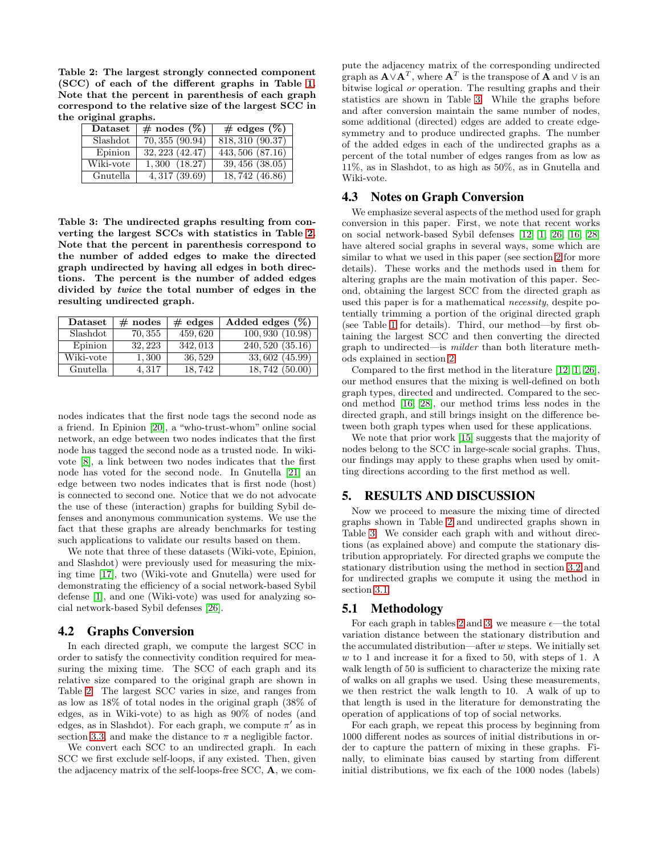<span id="page-4-1"></span>Table 2: The largest strongly connected component (SCC) of each of the different graphs in Table [1.](#page-3-6) Note that the percent in parenthesis of each graph correspond to the relative size of the largest SCC in the original graphs.

| Dataset   | $\#$ nodes $(\%)$ | $\#$ edges $(\%)$   |
|-----------|-------------------|---------------------|
| Slashdot  | 70,355(90.94)     | 818,310(90.37)      |
| Epinion   | 32,223(42.47)     | $443,506$ $(87.16)$ |
| Wiki-vote | 1,300(18.27)      | $39,456$ $(38.05)$  |
| Gnutella  | 4,317(39.69)      | 18, 742 (46.86)     |

<span id="page-4-2"></span>Table 3: The undirected graphs resulting from converting the largest SCCs with statistics in Table [2.](#page-4-1) Note that the percent in parenthesis correspond to the number of added edges to make the directed graph undirected by having all edges in both directions. The percent is the number of added edges divided by twice the total number of edges in the resulting undirected graph.

| $\mathbf{D}\text{ataset}$ | $\#$ nodes | $\#$ edges | Added edges $(\%)$ |
|---------------------------|------------|------------|--------------------|
| Slashdot                  | 70, 355    | 459,620    | 100,930(10.98)     |
| Epinion                   | 32.223     | 342,013    | 240, 520 (35.16)   |
| Wiki-vote                 | 1,300      | 36,529     | 33, 602 (45.99)    |
| Gnutella                  | 4.317      | 18,742     | 18,742 (50.00)     |

nodes indicates that the first node tags the second node as a friend. In Epinion [\[20\]](#page-9-24), a "who-trust-whom" online social network, an edge between two nodes indicates that the first node has tagged the second node as a trusted node. In wikivote [\[8\]](#page-9-25), a link between two nodes indicates that the first node has voted for the second node. In Gnutella [\[21\]](#page-9-26) an edge between two nodes indicates that is first node (host) is connected to second one. Notice that we do not advocate the use of these (interaction) graphs for building Sybil defenses and anonymous communication systems. We use the fact that these graphs are already benchmarks for testing such applications to validate our results based on them.

We note that three of these datasets (Wiki-vote, Epinion, and Slashdot) were previously used for measuring the mixing time [\[17\]](#page-9-13), two (Wiki-vote and Gnutella) were used for demonstrating the efficiency of a social network-based Sybil defense [\[1\]](#page-9-0), and one (Wiki-vote) was used for analyzing social network-based Sybil defenses [\[26\]](#page-9-5).

## **4.2 Graphs Conversion**

In each directed graph, we compute the largest SCC in order to satisfy the connectivity condition required for measuring the mixing time. The SCC of each graph and its relative size compared to the original graph are shown in Table [2.](#page-4-1) The largest SCC varies in size, and ranges from as low as 18% of total nodes in the original graph (38% of edges, as in Wiki-vote) to as high as 90% of nodes (and edges, as in Slashdot). For each graph, we compute  $\pi'$  as in section [3.3,](#page-3-2) and make the distance to  $\pi$  a negligible factor.

We convert each SCC to an undirected graph. In each SCC we first exclude self-loops, if any existed. Then, given the adjacency matrix of the self-loops-free SCC, A, we compute the adjacency matrix of the corresponding undirected graph as  $\mathbf{A} \vee \mathbf{A}^T$ , where  $\mathbf{A}^T$  is the transpose of  $\mathbf{A}$  and  $\vee$  is an bitwise logical *or* operation. The resulting graphs and their statistics are shown in Table [3.](#page-4-2) While the graphs before and after conversion maintain the same number of nodes, some additional (directed) edges are added to create edgesymmetry and to produce undirected graphs. The number of the added edges in each of the undirected graphs as a percent of the total number of edges ranges from as low as 11%, as in Slashdot, to as high as 50%, as in Gnutella and Wiki-vote.

## **4.3 Notes on Graph Conversion**

We emphasize several aspects of the method used for graph conversion in this paper. First, we note that recent works on social network-based Sybil defenses [\[12,](#page-9-4) [1,](#page-9-0) [26,](#page-9-5) [16,](#page-9-14) [28\]](#page-9-6) have altered social graphs in several ways, some which are similar to what we used in this paper (see section [2](#page-1-1) for more details). These works and the methods used in them for altering graphs are the main motivation of this paper. Second, obtaining the largest SCC from the directed graph as used this paper is for a mathematical *necessity*, despite potentially trimming a portion of the original directed graph (see Table [1](#page-3-6) for details). Third, our method—by first obtaining the largest SCC and then converting the directed graph to undirected—is *milder* than both literature methods explained in section [2.](#page-1-1)

Compared to the first method in the literature [\[12,](#page-9-4) [1,](#page-9-0) [26\]](#page-9-5), our method ensures that the mixing is well-defined on both graph types, directed and undirected. Compared to the second method [\[16,](#page-9-14) [28\]](#page-9-6), our method trims less nodes in the directed graph, and still brings insight on the difference between both graph types when used for these applications.

We note that prior work [\[15\]](#page-9-27) suggests that the majority of nodes belong to the SCC in large-scale social graphs. Thus, our findings may apply to these graphs when used by omitting directions according to the first method as well.

## <span id="page-4-0"></span>**5. RESULTS AND DISCUSSION**

Now we proceed to measure the mixing time of directed graphs shown in Table [2](#page-4-1) and undirected graphs shown in Table [3.](#page-4-2) We consider each graph with and without directions (as explained above) and compute the stationary distribution appropriately. For directed graphs we compute the stationary distribution using the method in section [3.2](#page-3-1) and for undirected graphs we compute it using the method in section [3.1.](#page-2-2)

#### **5.1 Methodology**

For each graph in tables [2](#page-4-1) and [3,](#page-4-2) we measure  $\epsilon$ —the total variation distance between the stationary distribution and the accumulated distribution—after  $w$  steps. We initially set w to 1 and increase it for a fixed to 50, with steps of 1. A walk length of 50 is sufficient to characterize the mixing rate of walks on all graphs we used. Using these measurements, we then restrict the walk length to 10. A walk of up to that length is used in the literature for demonstrating the operation of applications of top of social networks.

For each graph, we repeat this process by beginning from 1000 different nodes as sources of initial distributions in order to capture the pattern of mixing in these graphs. Finally, to eliminate bias caused by starting from different initial distributions, we fix each of the 1000 nodes (labels)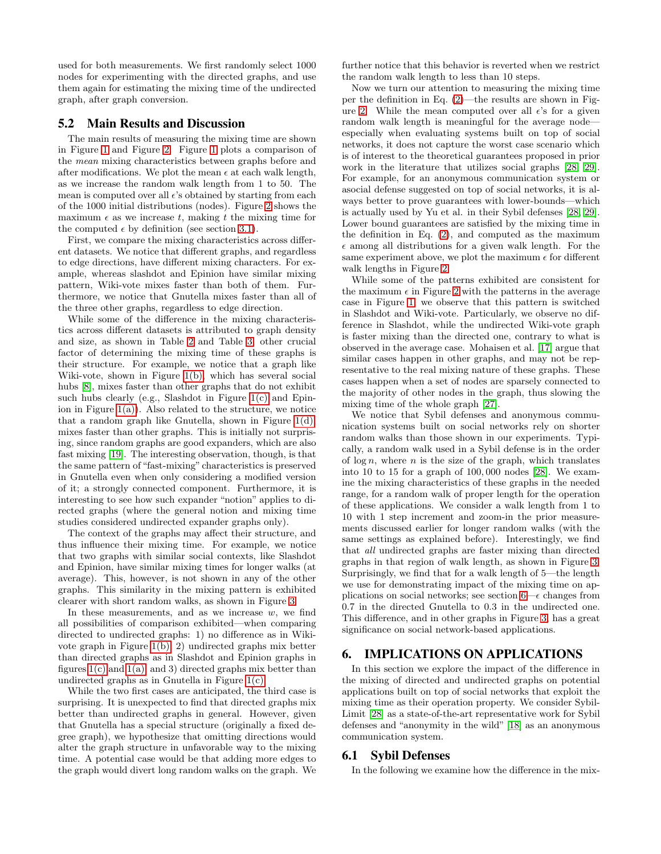used for both measurements. We first randomly select 1000 nodes for experimenting with the directed graphs, and use them again for estimating the mixing time of the undirected graph, after graph conversion.

# **5.2 Main Results and Discussion**

The main results of measuring the mixing time are shown in Figure [1](#page-6-0) and Figure [2.](#page-6-1) Figure [1](#page-6-0) plots a comparison of the *mean* mixing characteristics between graphs before and after modifications. We plot the mean  $\epsilon$  at each walk length, as we increase the random walk length from 1 to 50. The mean is computed over all  $\epsilon$ 's obtained by starting from each of the 1000 initial distributions (nodes). Figure [2](#page-6-1) shows the maximum  $\epsilon$  as we increase t, making t the mixing time for the computed  $\epsilon$  by definition (see section [3.1\)](#page-2-2).

First, we compare the mixing characteristics across different datasets. We notice that different graphs, and regardless to edge directions, have different mixing characters. For example, whereas slashdot and Epinion have similar mixing pattern, Wiki-vote mixes faster than both of them. Furthermore, we notice that Gnutella mixes faster than all of the three other graphs, regardless to edge direction.

While some of the difference in the mixing characteristics across different datasets is attributed to graph density and size, as shown in Table [2](#page-4-1) and Table [3,](#page-4-2) other crucial factor of determining the mixing time of these graphs is their structure. For example, we notice that a graph like Wiki-vote, shown in Figure [1\(b\),](#page-6-2) which has several social hubs [\[8\]](#page-9-25), mixes faster than other graphs that do not exhibit such hubs clearly (e.g., Slashdot in Figure  $1(c)$  and Epinion in Figure  $1(a)$ ). Also related to the structure, we notice that a random graph like Gnutella, shown in Figure [1\(d\),](#page-6-5) mixes faster than other graphs. This is initially not surprising, since random graphs are good expanders, which are also fast mixing [\[19\]](#page-9-28). The interesting observation, though, is that the same pattern of "fast-mixing" characteristics is preserved in Gnutella even when only considering a modified version of it; a strongly connected component. Furthermore, it is interesting to see how such expander "notion" applies to directed graphs (where the general notion and mixing time studies considered undirected expander graphs only).

The context of the graphs may affect their structure, and thus influence their mixing time. For example, we notice that two graphs with similar social contexts, like Slashdot and Epinion, have similar mixing times for longer walks (at average). This, however, is not shown in any of the other graphs. This similarity in the mixing pattern is exhibited clearer with short random walks, as shown in Figure [3.](#page-7-0)

In these measurements, and as we increase  $w$ , we find all possibilities of comparison exhibited—when comparing directed to undirected graphs: 1) no difference as in Wikivote graph in Figure [1\(b\),](#page-6-2) 2) undirected graphs mix better than directed graphs as in Slashdot and Epinion graphs in figures  $1(c)$  and  $1(a)$ , and 3) directed graphs mix better than undirected graphs as in Gnutella in Figure [1\(c\).](#page-6-3)

While the two first cases are anticipated, the third case is surprising. It is unexpected to find that directed graphs mix better than undirected graphs in general. However, given that Gnutella has a special structure (originally a fixed degree graph), we hypothesize that omitting directions would alter the graph structure in unfavorable way to the mixing time. A potential case would be that adding more edges to the graph would divert long random walks on the graph. We

further notice that this behavior is reverted when we restrict the random walk length to less than 10 steps.

Now we turn our attention to measuring the mixing time per the definition in Eq.  $(2)$ —the results are shown in Fig-ure [2.](#page-6-1) While the mean computed over all  $\epsilon$ 's for a given random walk length is meaningful for the average node especially when evaluating systems built on top of social networks, it does not capture the worst case scenario which is of interest to the theoretical guarantees proposed in prior work in the literature that utilizes social graphs [\[28,](#page-9-6) [29\]](#page-9-7). For example, for an anonymous communication system or asocial defense suggested on top of social networks, it is always better to prove guarantees with lower-bounds—which is actually used by Yu et al. in their Sybil defenses [\[28,](#page-9-6) [29\]](#page-9-7). Lower bound guarantees are satisfied by the mixing time in the definition in Eq. [\(2\)](#page-2-0), and computed as the maximum  $\epsilon$  among all distributions for a given walk length. For the same experiment above, we plot the maximum  $\epsilon$  for different walk lengths in Figure [2.](#page-6-1)

While some of the patterns exhibited are consistent for the maximum  $\epsilon$  in Figure [2](#page-6-1) with the patterns in the average case in Figure [1,](#page-6-0) we observe that this pattern is switched in Slashdot and Wiki-vote. Particularly, we observe no difference in Slashdot, while the undirected Wiki-vote graph is faster mixing than the directed one, contrary to what is observed in the average case. Mohaisen et al. [\[17\]](#page-9-13) argue that similar cases happen in other graphs, and may not be representative to the real mixing nature of these graphs. These cases happen when a set of nodes are sparsely connected to the majority of other nodes in the graph, thus slowing the mixing time of the whole graph [\[27\]](#page-9-16).

We notice that Sybil defenses and anonymous communication systems built on social networks rely on shorter random walks than those shown in our experiments. Typically, a random walk used in a Sybil defense is in the order of  $\log n$ , where *n* is the size of the graph, which translates into 10 to 15 for a graph of 100, 000 nodes [\[28\]](#page-9-6). We examine the mixing characteristics of these graphs in the needed range, for a random walk of proper length for the operation of these applications. We consider a walk length from 1 to 10 with 1 step increment and zoom-in the prior measurements discussed earlier for longer random walks (with the same settings as explained before). Interestingly, we find that *all* undirected graphs are faster mixing than directed graphs in that region of walk length, as shown in Figure [3.](#page-7-0) Surprisingly, we find that for a walk length of 5—the length we use for demonstrating impact of the mixing time on applications on social networks; see section  $6-\epsilon$  changes from 0.7 in the directed Gnutella to 0.3 in the undirected one. This difference, and in other graphs in Figure [3,](#page-7-0) has a great significance on social network-based applications.

# <span id="page-5-0"></span>**6. IMPLICATIONS ON APPLICATIONS**

In this section we explore the impact of the difference in the mixing of directed and undirected graphs on potential applications built on top of social networks that exploit the mixing time as their operation property. We consider Sybil-Limit [\[28\]](#page-9-6) as a state-of-the-art representative work for Sybil defenses and "anonymity in the wild" [\[18\]](#page-9-11) as an anonymous communication system.

## <span id="page-5-1"></span>**6.1 Sybil Defenses**

In the following we examine how the difference in the mix-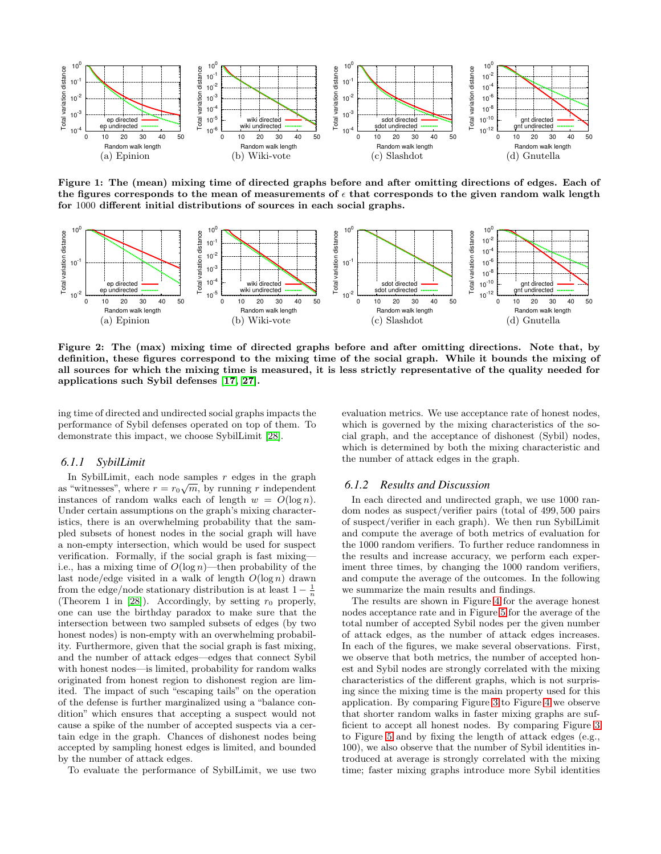<span id="page-6-4"></span><span id="page-6-3"></span><span id="page-6-2"></span>

<span id="page-6-0"></span>Figure 1: The (mean) mixing time of directed graphs before and after omitting directions of edges. Each of the figures corresponds to the mean of measurements of  $\epsilon$  that corresponds to the given random walk length for 1000 different initial distributions of sources in each social graphs.



<span id="page-6-1"></span>Figure 2: The (max) mixing time of directed graphs before and after omitting directions. Note that, by definition, these figures correspond to the mixing time of the social graph. While it bounds the mixing of all sources for which the mixing time is measured, it is less strictly representative of the quality needed for applications such Sybil defenses [\[17,](#page-9-13) [27\]](#page-9-16).

ing time of directed and undirected social graphs impacts the performance of Sybil defenses operated on top of them. To demonstrate this impact, we choose SybilLimit [\[28\]](#page-9-6).

## *6.1.1 SybilLimit*

In SybilLimit, each node samples  $r$  edges in the graph as "witnesses", where  $r = r_0 \sqrt{m}$ , by running r independent instances of random walks each of length  $w = O(\log n)$ . Under certain assumptions on the graph's mixing characteristics, there is an overwhelming probability that the sampled subsets of honest nodes in the social graph will have a non-empty intersection, which would be used for suspect verification. Formally, if the social graph is fast mixing i.e., has a mixing time of  $O(\log n)$ —then probability of the last node/edge visited in a walk of length  $O(\log n)$  drawn from the edge/node stationary distribution is at least  $1 - \frac{1}{n}$ (Theorem 1 in [\[28\]](#page-9-6)). Accordingly, by setting  $r_0$  properly, one can use the birthday paradox to make sure that the intersection between two sampled subsets of edges (by two honest nodes) is non-empty with an overwhelming probability. Furthermore, given that the social graph is fast mixing, and the number of attack edges—edges that connect Sybil with honest nodes—is limited, probability for random walks originated from honest region to dishonest region are limited. The impact of such "escaping tails" on the operation of the defense is further marginalized using a "balance condition" which ensures that accepting a suspect would not cause a spike of the number of accepted suspects via a certain edge in the graph. Chances of dishonest nodes being accepted by sampling honest edges is limited, and bounded by the number of attack edges.

To evaluate the performance of SybilLimit, we use two

<span id="page-6-5"></span>evaluation metrics. We use acceptance rate of honest nodes, which is governed by the mixing characteristics of the social graph, and the acceptance of dishonest (Sybil) nodes, which is determined by both the mixing characteristic and the number of attack edges in the graph.

#### *6.1.2 Results and Discussion*

In each directed and undirected graph, we use 1000 random nodes as suspect/verifier pairs (total of 499, 500 pairs of suspect/verifier in each graph). We then run SybilLimit and compute the average of both metrics of evaluation for the 1000 random verifiers. To further reduce randomness in the results and increase accuracy, we perform each experiment three times, by changing the 1000 random verifiers, and compute the average of the outcomes. In the following we summarize the main results and findings.

The results are shown in Figure [4](#page-7-1) for the average honest nodes acceptance rate and in Figure [5](#page-8-1) for the average of the total number of accepted Sybil nodes per the given number of attack edges, as the number of attack edges increases. In each of the figures, we make several observations. First, we observe that both metrics, the number of accepted honest and Sybil nodes are strongly correlated with the mixing characteristics of the different graphs, which is not surprising since the mixing time is the main property used for this application. By comparing Figure [3](#page-7-0) to Figure [4](#page-7-1) we observe that shorter random walks in faster mixing graphs are sufficient to accept all honest nodes. By comparing Figure [3](#page-7-0) to Figure [5](#page-8-1) and by fixing the length of attack edges (e.g., 100), we also observe that the number of Sybil identities introduced at average is strongly correlated with the mixing time; faster mixing graphs introduce more Sybil identities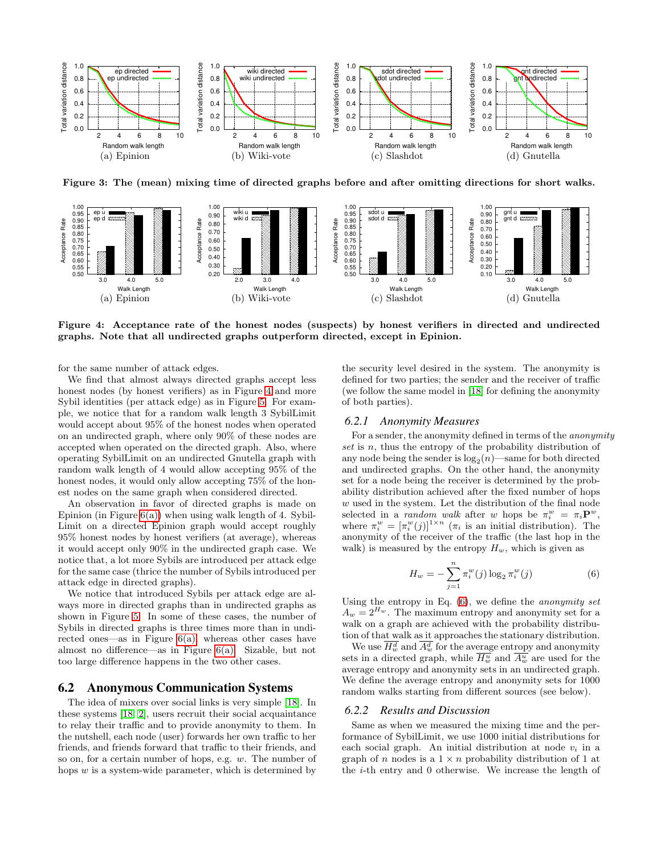

<span id="page-7-0"></span>Figure 3: The (mean) mixing time of directed graphs before and after omitting directions for short walks.



<span id="page-7-1"></span>Figure 4: Acceptance rate of the honest nodes (suspects) by honest verifiers in directed and undirected graphs. Note that all undirected graphs outperform directed, except in Epinion.

for the same number of attack edges.

We find that almost always directed graphs accept less honest nodes (by honest verifiers) as in Figure [4](#page-7-1) and more Sybil identities (per attack edge) as in Figure [5.](#page-8-1) For example, we notice that for a random walk length 3 SybilLimit would accept about 95% of the honest nodes when operated on an undirected graph, where only 90% of these nodes are accepted when operated on the directed graph. Also, where operating SybilLimit on an undirected Gnutella graph with random walk length of 4 would allow accepting 95% of the honest nodes, it would only allow accepting 75% of the honest nodes on the same graph when considered directed.

An observation in favor of directed graphs is made on Epinion (in Figure  $6(a)$ ) when using walk length of 4. Sybil-Limit on a directed Epinion graph would accept roughly 95% honest nodes by honest verifiers (at average), whereas it would accept only 90% in the undirected graph case. We notice that, a lot more Sybils are introduced per attack edge for the same case (thrice the number of Sybils introduced per attack edge in directed graphs).

We notice that introduced Sybils per attack edge are always more in directed graphs than in undirected graphs as shown in Figure [5.](#page-8-1) In some of these cases, the number of Sybils in directed graphs is three times more than in undirected ones—as in Figure  $6(a)$ , whereas other cases have almost no difference—as in Figure [6\(a\).](#page-8-2) Sizable, but not too large difference happens in the two other cases.

## **6.2 Anonymous Communication Systems**

The idea of mixers over social links is very simple [\[18\]](#page-9-11). In these systems [\[18,](#page-9-11) [2\]](#page-9-12), users recruit their social acquaintance to relay their traffic and to provide anonymity to them. In the nutshell, each node (user) forwards her own traffic to her friends, and friends forward that traffic to their friends, and so on, for a certain number of hops, e.g. w. The number of hops  $w$  is a system-wide parameter, which is determined by

the security level desired in the system. The anonymity is defined for two parties; the sender and the receiver of traffic (we follow the same model in [\[18\]](#page-9-11) for defining the anonymity of both parties).

#### *6.2.1 Anonymity Measures*

For a sender, the anonymity defined in terms of the *anonymity set* is n, thus the entropy of the probability distribution of any node being the sender is  $log_2(n)$ —same for both directed and undirected graphs. On the other hand, the anonymity set for a node being the receiver is determined by the probability distribution achieved after the fixed number of hops w used in the system. Let the distribution of the final node selected in a *random walk* after w hops be  $\pi_i^w = \pi_i \mathbf{P}^w$ , where  $\pi_i^w = [\pi_i^w(j)]^{1 \times n}$  ( $\pi_i$  is an initial distribution). The anonymity of the receiver of the traffic (the last hop in the walk) is measured by the entropy  $H_w$ , which is given as

<span id="page-7-2"></span>
$$
H_w = -\sum_{j=1}^{n} \pi_i^w(j) \log_2 \pi_i^w(j)
$$
 (6)

Using the entropy in Eq. [\(6\)](#page-7-2), we define the *anonymity set*  $A_w = 2^{H_w}$ . The maximum entropy and anonymity set for a walk on a graph are achieved with the probability distribution of that walk as it approaches the stationary distribution.

We use  $H_w^d$  and  $A_w^d$  for the average entropy and anonymity sets in a directed graph, while  $\overline{H_w^u}$  and  $\overline{A_w^u}$  are used for the average entropy and anonymity sets in an undirected graph. We define the average entropy and anonymity sets for 1000 random walks starting from different sources (see below).

#### *6.2.2 Results and Discussion*

Same as when we measured the mixing time and the performance of SybilLimit, we use 1000 initial distributions for each social graph. An initial distribution at node  $v_i$  in a graph of n nodes is a  $1 \times n$  probability distribution of 1 at the i-th entry and 0 otherwise. We increase the length of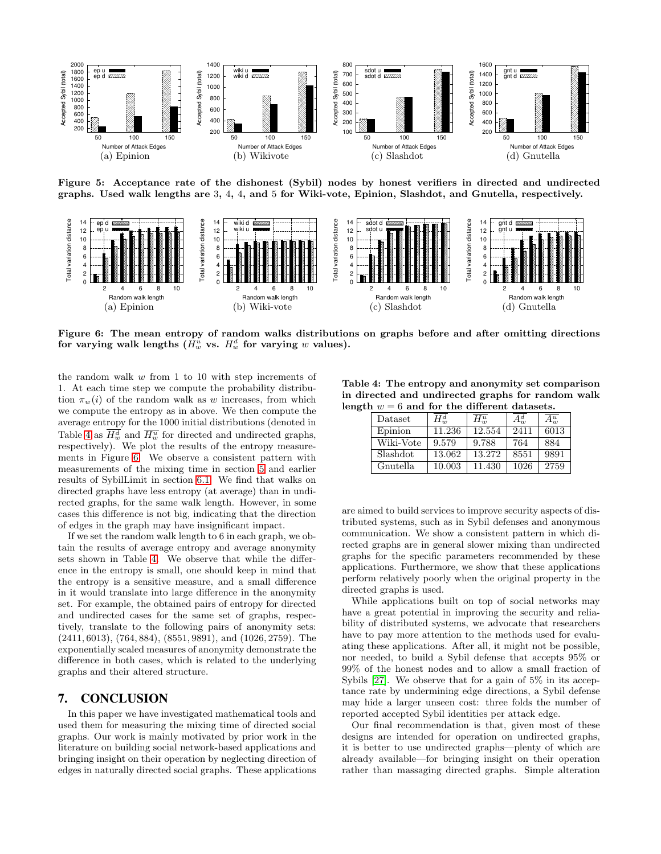

<span id="page-8-1"></span>Figure 5: Acceptance rate of the dishonest (Sybil) nodes by honest verifiers in directed and undirected graphs. Used walk lengths are 3, 4, 4, and 5 for Wiki-vote, Epinion, Slashdot, and Gnutella, respectively.

<span id="page-8-2"></span>

<span id="page-8-4"></span>Figure 6: The mean entropy of random walks distributions on graphs before and after omitting directions for varying walk lengths  $(H^u_w$  vs.  $H^d_w$  for varying  $w$  values).

the random walk  $w$  from 1 to 10 with step increments of 1. At each time step we compute the probability distribution  $\pi_w(i)$  of the random walk as w increases, from which we compute the entropy as in above. We then compute the average entropy for the 1000 initial distributions (denoted in Table [4](#page-8-3) as  $H_w^d$  and  $\overline{H_w^u}$  for directed and undirected graphs, respectively). We plot the results of the entropy measurements in Figure [6.](#page-8-4) We observe a consistent pattern with measurements of the mixing time in section [5](#page-4-0) and earlier results of SybilLimit in section [6.1.](#page-5-1) We find that walks on directed graphs have less entropy (at average) than in undirected graphs, for the same walk length. However, in some cases this difference is not big, indicating that the direction of edges in the graph may have insignificant impact.

If we set the random walk length to 6 in each graph, we obtain the results of average entropy and average anonymity sets shown in Table [4.](#page-8-3) We observe that while the difference in the entropy is small, one should keep in mind that the entropy is a sensitive measure, and a small difference in it would translate into large difference in the anonymity set. For example, the obtained pairs of entropy for directed and undirected cases for the same set of graphs, respectively, translate to the following pairs of anonymity sets: (2411, 6013), (764, 884), (8551, 9891), and (1026, 2759). The exponentially scaled measures of anonymity demonstrate the difference in both cases, which is related to the underlying graphs and their altered structure.

## <span id="page-8-0"></span>**7. CONCLUSION**

In this paper we have investigated mathematical tools and used them for measuring the mixing time of directed social graphs. Our work is mainly motivated by prior work in the literature on building social network-based applications and bringing insight on their operation by neglecting direction of edges in naturally directed social graphs. These applications

Table 4: The entropy and anonymity set comparison in directed and undirected graphs for random walk length  $w = 6$  and for the different datasets.

<span id="page-8-3"></span>

| Dataset   | $H_w^d$ | $H_w^u$ | $A_u^d$ | $A_w^u$ |  |  |
|-----------|---------|---------|---------|---------|--|--|
| Epinion   | 11.236  | 12.554  | 2411    | 6013    |  |  |
| Wiki-Vote | 9.579   | 9.788   | 764     | 884     |  |  |
| Slashdot  | 13.062  | 13.272  | 8551    | 9891    |  |  |
| Gnutella  | 10.003  | 11.430  | 1026    | 2759    |  |  |

are aimed to build services to improve security aspects of distributed systems, such as in Sybil defenses and anonymous communication. We show a consistent pattern in which directed graphs are in general slower mixing than undirected graphs for the specific parameters recommended by these applications. Furthermore, we show that these applications perform relatively poorly when the original property in the directed graphs is used.

While applications built on top of social networks may have a great potential in improving the security and reliability of distributed systems, we advocate that researchers have to pay more attention to the methods used for evaluating these applications. After all, it might not be possible, nor needed, to build a Sybil defense that accepts 95% or 99% of the honest nodes and to allow a small fraction of Sybils [\[27\]](#page-9-16). We observe that for a gain of 5% in its acceptance rate by undermining edge directions, a Sybil defense may hide a larger unseen cost: three folds the number of reported accepted Sybil identities per attack edge.

Our final recommendation is that, given most of these designs are intended for operation on undirected graphs, it is better to use undirected graphs—plenty of which are already available—for bringing insight on their operation rather than massaging directed graphs. Simple alteration